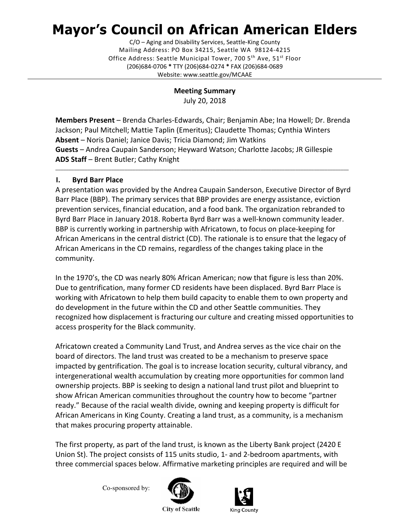# Mayor's Council on African American Elders

C/O – Aging and Disability Services, Seattle-King County Mailing Address: PO Box 34215, Seattle WA 98124-4215 Office Address: Seattle Municipal Tower, 700 5<sup>th</sup> Ave, 51<sup>st</sup> Floor (206)684-0706 \* TTY (206)684-0274 \* FAX (206)684-0689 Website: www.seattle.gov/MCAAE

> Meeting Summary July 20, 2018

Members Present – Brenda Charles-Edwards, Chair; Benjamin Abe; Ina Howell; Dr. Brenda Jackson; Paul Mitchell; Mattie Taplin (Emeritus); Claudette Thomas; Cynthia Winters Absent – Noris Daniel; Janice Davis; Tricia Diamond; Jim Watkins Guests – Andrea Caupain Sanderson; Heyward Watson; Charlotte Jacobs; JR Gillespie ADS Staff – Brent Butler; Cathy Knight

\_\_\_\_\_\_\_\_\_\_\_\_\_\_\_\_\_\_\_\_\_\_\_\_\_\_\_\_\_\_\_\_\_\_\_\_\_\_\_\_\_\_\_\_\_\_\_\_\_\_\_\_\_\_\_\_\_\_\_\_\_\_\_\_\_\_\_\_\_\_\_\_\_\_\_\_\_\_\_\_\_\_\_\_\_\_\_\_\_\_\_\_\_\_\_\_\_\_\_\_\_\_\_\_\_\_\_\_\_\_

## I. Byrd Barr Place

A presentation was provided by the Andrea Caupain Sanderson, Executive Director of Byrd Barr Place (BBP). The primary services that BBP provides are energy assistance, eviction prevention services, financial education, and a food bank. The organization rebranded to Byrd Barr Place in January 2018. Roberta Byrd Barr was a well-known community leader. BBP is currently working in partnership with Africatown, to focus on place-keeping for African Americans in the central district (CD). The rationale is to ensure that the legacy of African Americans in the CD remains, regardless of the changes taking place in the community.

In the 1970's, the CD was nearly 80% African American; now that figure is less than 20%. Due to gentrification, many former CD residents have been displaced. Byrd Barr Place is working with Africatown to help them build capacity to enable them to own property and do development in the future within the CD and other Seattle communities. They recognized how displacement is fracturing our culture and creating missed opportunities to access prosperity for the Black community.

Africatown created a Community Land Trust, and Andrea serves as the vice chair on the board of directors. The land trust was created to be a mechanism to preserve space impacted by gentrification. The goal is to increase location security, cultural vibrancy, and intergenerational wealth accumulation by creating more opportunities for common land ownership projects. BBP is seeking to design a national land trust pilot and blueprint to show African American communities throughout the country how to become "partner ready." Because of the racial wealth divide, owning and keeping property is difficult for African Americans in King County. Creating a land trust, as a community, is a mechanism that makes procuring property attainable.

The first property, as part of the land trust, is known as the Liberty Bank project (2420 E Union St). The project consists of 115 units studio, 1- and 2-bedroom apartments, with three commercial spaces below. Affirmative marketing principles are required and will be

Co-sponsored by:





**City of Seattle**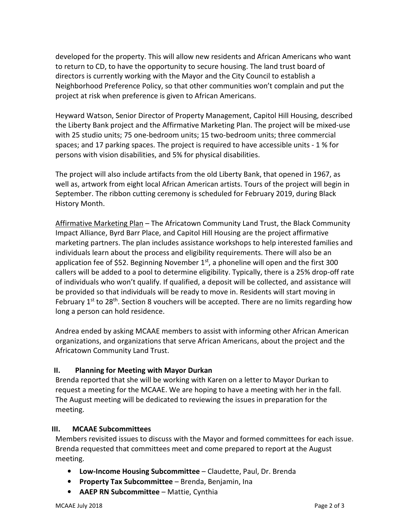developed for the property. This will allow new residents and African Americans who want to return to CD, to have the opportunity to secure housing. The land trust board of directors is currently working with the Mayor and the City Council to establish a Neighborhood Preference Policy, so that other communities won't complain and put the project at risk when preference is given to African Americans.

Heyward Watson, Senior Director of Property Management, Capitol Hill Housing, described the Liberty Bank project and the Affirmative Marketing Plan. The project will be mixed-use with 25 studio units; 75 one-bedroom units; 15 two-bedroom units; three commercial spaces; and 17 parking spaces. The project is required to have accessible units - 1 % for persons with vision disabilities, and 5% for physical disabilities.

The project will also include artifacts from the old Liberty Bank, that opened in 1967, as well as, artwork from eight local African American artists. Tours of the project will begin in September. The ribbon cutting ceremony is scheduled for February 2019, during Black History Month.

Affirmative Marketing Plan – The Africatown Community Land Trust, the Black Community Impact Alliance, Byrd Barr Place, and Capitol Hill Housing are the project affirmative marketing partners. The plan includes assistance workshops to help interested families and individuals learn about the process and eligibility requirements. There will also be an application fee of \$52. Beginning November  $1<sup>st</sup>$ , a phoneline will open and the first 300 callers will be added to a pool to determine eligibility. Typically, there is a 25% drop-off rate of individuals who won't qualify. If qualified, a deposit will be collected, and assistance will be provided so that individuals will be ready to move in. Residents will start moving in February  $1^{st}$  to  $28^{th}$ . Section 8 vouchers will be accepted. There are no limits regarding how long a person can hold residence.

Andrea ended by asking MCAAE members to assist with informing other African American organizations, and organizations that serve African Americans, about the project and the Africatown Community Land Trust.

## II. Planning for Meeting with Mayor Durkan

Brenda reported that she will be working with Karen on a letter to Mayor Durkan to request a meeting for the MCAAE. We are hoping to have a meeting with her in the fall. The August meeting will be dedicated to reviewing the issues in preparation for the meeting.

### III. MCAAE Subcommittees

Members revisited issues to discuss with the Mayor and formed committees for each issue. Brenda requested that committees meet and come prepared to report at the August meeting.

- Low-Income Housing Subcommittee Claudette, Paul, Dr. Brenda
- Property Tax Subcommittee Brenda, Benjamin, Ina
- AAEP RN Subcommittee Mattie, Cynthia